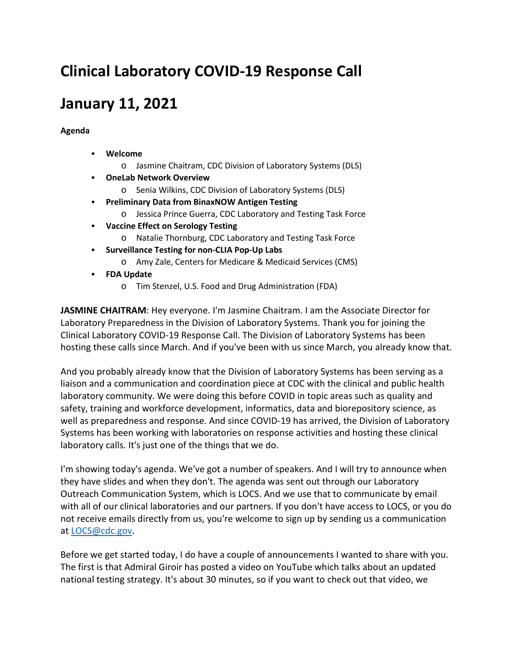## **Clinical Laboratory COVID-19 Response Call**

## **January 11, 2021**

**Agenda**

- **Welcome** 
	- o Jasmine Chaitram, CDC Division of Laboratory Systems (DLS)
- **OneLab Network Overview**
	- o Senia Wilkins, CDC Division of Laboratory Systems (DLS)
- **Preliminary Data from BinaxNOW Antigen Testing**
	- o Jessica Prince Guerra, CDC Laboratory and Testing Task Force
- **Vaccine Effect on Serology Testing**
	- o Natalie Thornburg, CDC Laboratory and Testing Task Force
- **Surveillance Testing for non-CLIA Pop-Up Labs** 
	- o Amy Zale, Centers for Medicare & Medicaid Services (CMS)
- **FDA Update** 
	- o Tim Stenzel, U.S. Food and Drug Administration (FDA)

**JASMINE CHAITRAM**: Hey everyone. I'm Jasmine Chaitram. I am the Associate Director for Laboratory Preparedness in the Division of Laboratory Systems. Thank you for joining the Clinical Laboratory COVID-19 Response Call. The Division of Laboratory Systems has been hosting these calls since March. And if you've been with us since March, you already know that.

And you probably already know that the Division of Laboratory Systems has been serving as a liaison and a communication and coordination piece at CDC with the clinical and public health laboratory community. We were doing this before COVID in topic areas such as quality and safety, training and workforce development, informatics, data and biorepository science, as well as preparedness and response. And since COVID-19 has arrived, the Division of Laboratory Systems has been working with laboratories on response activities and hosting these clinical laboratory calls. It's just one of the things that we do.

I'm showing today's agenda. We've got a number of speakers. And I will try to announce when they have slides and when they don't. The agenda was sent out through our Laboratory Outreach Communication System, which is LOCS. And we use that to communicate by email with all of our clinical laboratories and our partners. If you don't have access to LOCS, or you do not receive emails directly from us, you're welcome to sign up by sending us a communication at [LOCS@cdc.gov.](mailto:LOCS@cdc.gov)

Before we get started today, I do have a couple of announcements I wanted to share with you. The first is that Admiral Giroir has posted a video on YouTube which talks about an updated national testing strategy. It's about 30 minutes, so if you want to check out that video, we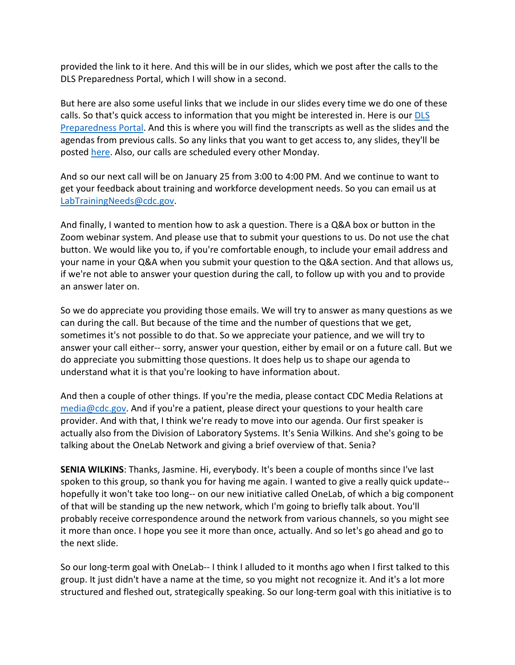provided the link to it here. And this will be in our slides, which we post after the calls to the DLS Preparedness Portal, which I will show in a second.

But here are also some useful links that we include in our slides every time we do one of these calls. So that's quick access to information that you might be interested in. Here is our [DLS](https://www.cdc.gov/csels/dls/preparedlabs/index.html)  [Preparedness Portal.](https://www.cdc.gov/csels/dls/preparedlabs/index.html) And this is where you will find the transcripts as well as the slides and the agendas from previous calls. So any links that you want to get access to, any slides, they'll be posted [here.](https://www.cdc.gov/csels/dls/preparedlabs/covid-19-clinical-calls.html) Also, our calls are scheduled every other Monday.

And so our next call will be on January 25 from 3:00 to 4:00 PM. And we continue to want to get your feedback about training and workforce development needs. So you can email us at [LabTrainingNeeds@cdc.gov.](mailto:LabTrainingNeeds@cdc.gov)

And finally, I wanted to mention how to ask a question. There is a Q&A box or button in the Zoom webinar system. And please use that to submit your questions to us. Do not use the chat button. We would like you to, if you're comfortable enough, to include your email address and your name in your Q&A when you submit your question to the Q&A section. And that allows us, if we're not able to answer your question during the call, to follow up with you and to provide an answer later on.

So we do appreciate you providing those emails. We will try to answer as many questions as we can during the call. But because of the time and the number of questions that we get, sometimes it's not possible to do that. So we appreciate your patience, and we will try to answer your call either-- sorry, answer your question, either by email or on a future call. But we do appreciate you submitting those questions. It does help us to shape our agenda to understand what it is that you're looking to have information about.

And then a couple of other things. If you're the media, please contact CDC Media Relations at [media@cdc.gov.](mailto:media@cdc.gov) And if you're a patient, please direct your questions to your health care provider. And with that, I think we're ready to move into our agenda. Our first speaker is actually also from the Division of Laboratory Systems. It's Senia Wilkins. And she's going to be talking about the OneLab Network and giving a brief overview of that. Senia?

**SENIA WILKINS**: Thanks, Jasmine. Hi, everybody. It's been a couple of months since I've last spoken to this group, so thank you for having me again. I wanted to give a really quick update- hopefully it won't take too long-- on our new initiative called OneLab, of which a big component of that will be standing up the new network, which I'm going to briefly talk about. You'll probably receive correspondence around the network from various channels, so you might see it more than once. I hope you see it more than once, actually. And so let's go ahead and go to the next slide.

So our long-term goal with OneLab-- I think I alluded to it months ago when I first talked to this group. It just didn't have a name at the time, so you might not recognize it. And it's a lot more structured and fleshed out, strategically speaking. So our long-term goal with this initiative is to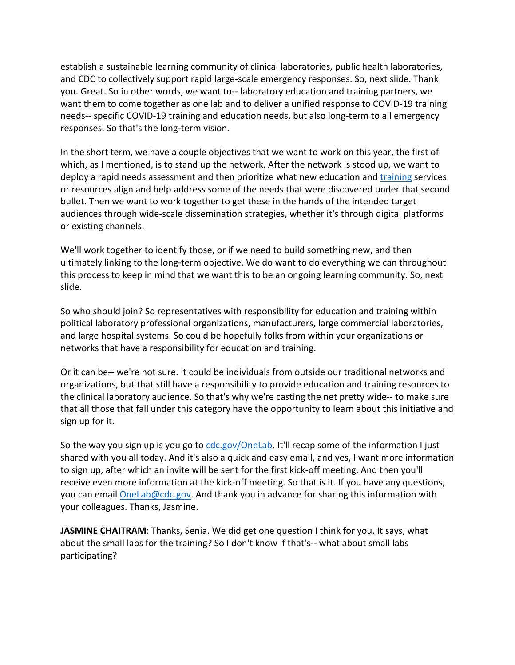establish a sustainable learning community of clinical laboratories, public health laboratories, and CDC to collectively support rapid large-scale emergency responses. So, next slide. Thank you. Great. So in other words, we want to-- laboratory education and training partners, we want them to come together as one lab and to deliver a unified response to COVID-19 training needs-- specific COVID-19 training and education needs, but also long-term to all emergency responses. So that's the long-term vision.

In the short term, we have a couple objectives that we want to work on this year, the first of which, as I mentioned, is to stand up the network. After the network is stood up, we want to deploy a rapid needs assessment and then prioritize what new education and [training](https://www.cdc.gov/labtraining?Sort=format%3A%3Aasc) services or resources align and help address some of the needs that were discovered under that second bullet. Then we want to work together to get these in the hands of the intended target audiences through wide-scale dissemination strategies, whether it's through digital platforms or existing channels.

We'll work together to identify those, or if we need to build something new, and then ultimately linking to the long-term objective. We do want to do everything we can throughout this process to keep in mind that we want this to be an ongoing learning community. So, next slide.

So who should join? So representatives with responsibility for education and training within political laboratory professional organizations, manufacturers, large commercial laboratories, and large hospital systems. So could be hopefully folks from within your organizations or networks that have a responsibility for education and training.

Or it can be-- we're not sure. It could be individuals from outside our traditional networks and organizations, but that still have a responsibility to provide education and training resources to the clinical laboratory audience. So that's why we're casting the net pretty wide-- to make sure that all those that fall under this category have the opportunity to learn about this initiative and sign up for it.

So the way you sign up is you go to [cdc.gov/OneLab.](https://www.cdc.gov/labtraining/onelab.html) It'll recap some of the information I just shared with you all today. And it's also a quick and easy email, and yes, I want more information to sign up, after which an invite will be sent for the first kick-off meeting. And then you'll receive even more information at the kick-off meeting. So that is it. If you have any questions, you can email [OneLab@cdc.gov.](mailto:OneLab@cdc.gov) And thank you in advance for sharing this information with your colleagues. Thanks, Jasmine.

**JASMINE CHAITRAM**: Thanks, Senia. We did get one question I think for you. It says, what about the small labs for the training? So I don't know if that's-- what about small labs participating?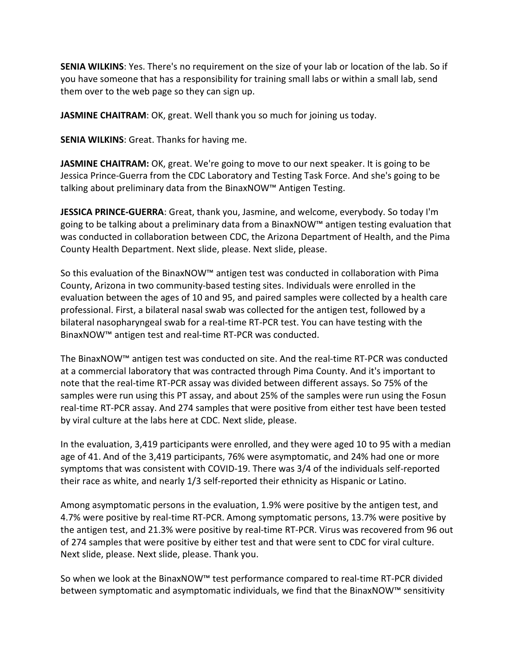**SENIA WILKINS**: Yes. There's no requirement on the size of your lab or location of the lab. So if you have someone that has a responsibility for training small labs or within a small lab, send them over to the web page so they can sign up.

**JASMINE CHAITRAM**: OK, great. Well thank you so much for joining us today.

**SENIA WILKINS**: Great. Thanks for having me.

**JASMINE CHAITRAM:** OK, great. We're going to move to our next speaker. It is going to be Jessica Prince-Guerra from the CDC Laboratory and Testing Task Force. And she's going to be talking about preliminary data from the BinaxNOW™ Antigen Testing.

**JESSICA PRINCE-GUERRA**: Great, thank you, Jasmine, and welcome, everybody. So today I'm going to be talking about a preliminary data from a BinaxNOW™ antigen testing evaluation that was conducted in collaboration between CDC, the Arizona Department of Health, and the Pima County Health Department. Next slide, please. Next slide, please.

So this evaluation of the BinaxNOW™ antigen test was conducted in collaboration with Pima County, Arizona in two community-based testing sites. Individuals were enrolled in the evaluation between the ages of 10 and 95, and paired samples were collected by a health care professional. First, a bilateral nasal swab was collected for the antigen test, followed by a bilateral nasopharyngeal swab for a real-time RT-PCR test. You can have testing with the BinaxNOW™ antigen test and real-time RT-PCR was conducted.

The BinaxNOW™ antigen test was conducted on site. And the real-time RT-PCR was conducted at a commercial laboratory that was contracted through Pima County. And it's important to note that the real-time RT-PCR assay was divided between different assays. So 75% of the samples were run using this PT assay, and about 25% of the samples were run using the Fosun real-time RT-PCR assay. And 274 samples that were positive from either test have been tested by viral culture at the labs here at CDC. Next slide, please.

In the evaluation, 3,419 participants were enrolled, and they were aged 10 to 95 with a median age of 41. And of the 3,419 participants, 76% were asymptomatic, and 24% had one or more symptoms that was consistent with COVID-19. There was 3/4 of the individuals self-reported their race as white, and nearly 1/3 self-reported their ethnicity as Hispanic or Latino.

Among asymptomatic persons in the evaluation, 1.9% were positive by the antigen test, and 4.7% were positive by real-time RT-PCR. Among symptomatic persons, 13.7% were positive by the antigen test, and 21.3% were positive by real-time RT-PCR. Virus was recovered from 96 out of 274 samples that were positive by either test and that were sent to CDC for viral culture. Next slide, please. Next slide, please. Thank you.

So when we look at the BinaxNOW™ test performance compared to real-time RT-PCR divided between symptomatic and asymptomatic individuals, we find that the BinaxNOW™ sensitivity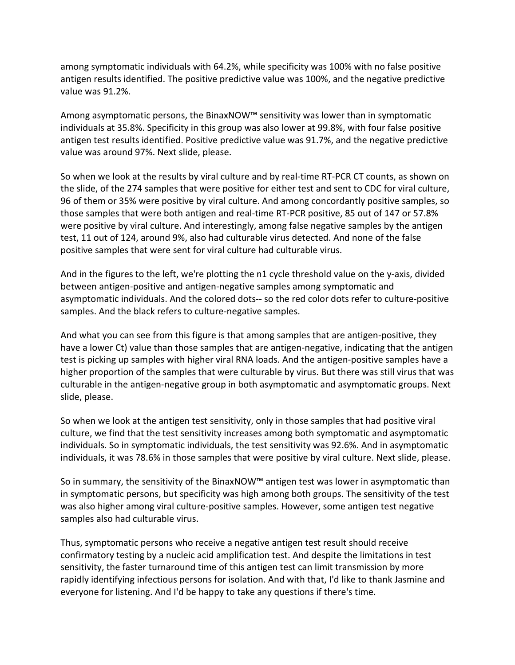among symptomatic individuals with 64.2%, while specificity was 100% with no false positive antigen results identified. The positive predictive value was 100%, and the negative predictive value was 91.2%.

Among asymptomatic persons, the BinaxNOW™ sensitivity was lower than in symptomatic individuals at 35.8%. Specificity in this group was also lower at 99.8%, with four false positive antigen test results identified. Positive predictive value was 91.7%, and the negative predictive value was around 97%. Next slide, please.

So when we look at the results by viral culture and by real-time RT-PCR CT counts, as shown on the slide, of the 274 samples that were positive for either test and sent to CDC for viral culture, 96 of them or 35% were positive by viral culture. And among concordantly positive samples, so those samples that were both antigen and real-time RT-PCR positive, 85 out of 147 or 57.8% were positive by viral culture. And interestingly, among false negative samples by the antigen test, 11 out of 124, around 9%, also had culturable virus detected. And none of the false positive samples that were sent for viral culture had culturable virus.

And in the figures to the left, we're plotting the n1 cycle threshold value on the y-axis, divided between antigen-positive and antigen-negative samples among symptomatic and asymptomatic individuals. And the colored dots-- so the red color dots refer to culture-positive samples. And the black refers to culture-negative samples.

And what you can see from this figure is that among samples that are antigen-positive, they have a lower Ct) value than those samples that are antigen-negative, indicating that the antigen test is picking up samples with higher viral RNA loads. And the antigen-positive samples have a higher proportion of the samples that were culturable by virus. But there was still virus that was culturable in the antigen-negative group in both asymptomatic and asymptomatic groups. Next slide, please.

So when we look at the antigen test sensitivity, only in those samples that had positive viral culture, we find that the test sensitivity increases among both symptomatic and asymptomatic individuals. So in symptomatic individuals, the test sensitivity was 92.6%. And in asymptomatic individuals, it was 78.6% in those samples that were positive by viral culture. Next slide, please.

So in summary, the sensitivity of the BinaxNOW™ antigen test was lower in asymptomatic than in symptomatic persons, but specificity was high among both groups. The sensitivity of the test was also higher among viral culture-positive samples. However, some antigen test negative samples also had culturable virus.

Thus, symptomatic persons who receive a negative antigen test result should receive confirmatory testing by a nucleic acid amplification test. And despite the limitations in test sensitivity, the faster turnaround time of this antigen test can limit transmission by more rapidly identifying infectious persons for isolation. And with that, I'd like to thank Jasmine and everyone for listening. And I'd be happy to take any questions if there's time.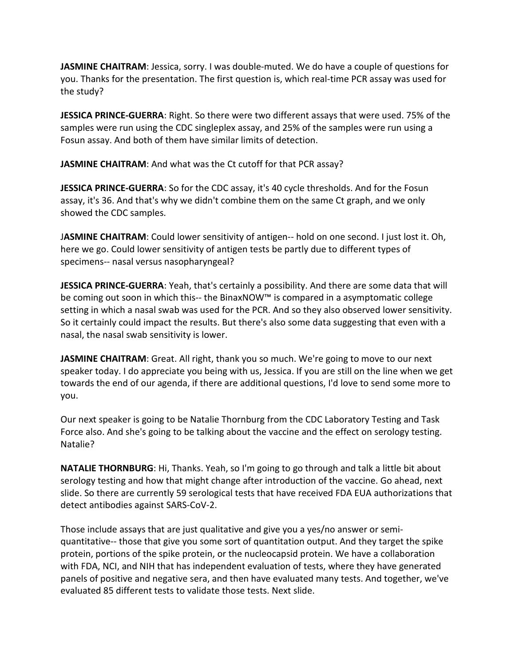**JASMINE CHAITRAM**: Jessica, sorry. I was double-muted. We do have a couple of questions for you. Thanks for the presentation. The first question is, which real-time PCR assay was used for the study?

**JESSICA PRINCE-GUERRA**: Right. So there were two different assays that were used. 75% of the samples were run using the CDC singleplex assay, and 25% of the samples were run using a Fosun assay. And both of them have similar limits of detection.

**JASMINE CHAITRAM**: And what was the Ct cutoff for that PCR assay?

**JESSICA PRINCE-GUERRA**: So for the CDC assay, it's 40 cycle thresholds. And for the Fosun assay, it's 36. And that's why we didn't combine them on the same Ct graph, and we only showed the CDC samples.

J**ASMINE CHAITRAM**: Could lower sensitivity of antigen-- hold on one second. I just lost it. Oh, here we go. Could lower sensitivity of antigen tests be partly due to different types of specimens-- nasal versus nasopharyngeal?

**JESSICA PRINCE-GUERRA**: Yeah, that's certainly a possibility. And there are some data that will be coming out soon in which this-- the BinaxNOW™ is compared in a asymptomatic college setting in which a nasal swab was used for the PCR. And so they also observed lower sensitivity. So it certainly could impact the results. But there's also some data suggesting that even with a nasal, the nasal swab sensitivity is lower.

**JASMINE CHAITRAM:** Great. All right, thank you so much. We're going to move to our next speaker today. I do appreciate you being with us, Jessica. If you are still on the line when we get towards the end of our agenda, if there are additional questions, I'd love to send some more to you.

Our next speaker is going to be Natalie Thornburg from the CDC Laboratory Testing and Task Force also. And she's going to be talking about the vaccine and the effect on serology testing. Natalie?

**NATALIE THORNBURG**: Hi, Thanks. Yeah, so I'm going to go through and talk a little bit about serology testing and how that might change after introduction of the vaccine. Go ahead, next slide. So there are currently 59 serological tests that have received FDA EUA authorizations that detect antibodies against SARS-CoV-2.

Those include assays that are just qualitative and give you a yes/no answer or semiquantitative-- those that give you some sort of quantitation output. And they target the spike protein, portions of the spike protein, or the nucleocapsid protein. We have a collaboration with FDA, NCI, and NIH that has independent evaluation of tests, where they have generated panels of positive and negative sera, and then have evaluated many tests. And together, we've evaluated 85 different tests to validate those tests. Next slide.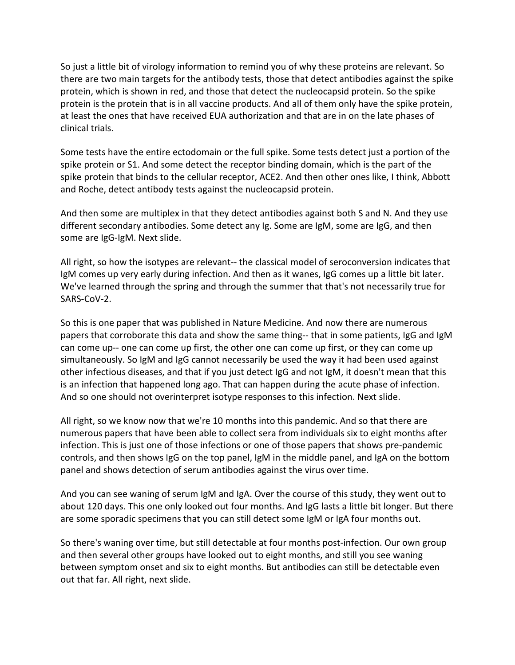So just a little bit of virology information to remind you of why these proteins are relevant. So there are two main targets for the antibody tests, those that detect antibodies against the spike protein, which is shown in red, and those that detect the nucleocapsid protein. So the spike protein is the protein that is in all vaccine products. And all of them only have the spike protein, at least the ones that have received EUA authorization and that are in on the late phases of clinical trials.

Some tests have the entire ectodomain or the full spike. Some tests detect just a portion of the spike protein or S1. And some detect the receptor binding domain, which is the part of the spike protein that binds to the cellular receptor, ACE2. And then other ones like, I think, Abbott and Roche, detect antibody tests against the nucleocapsid protein.

And then some are multiplex in that they detect antibodies against both S and N. And they use different secondary antibodies. Some detect any Ig. Some are IgM, some are IgG, and then some are IgG-IgM. Next slide.

All right, so how the isotypes are relevant-- the classical model of seroconversion indicates that IgM comes up very early during infection. And then as it wanes, IgG comes up a little bit later. We've learned through the spring and through the summer that that's not necessarily true for SARS-CoV-2.

So this is one paper that was published in Nature Medicine. And now there are numerous papers that corroborate this data and show the same thing-- that in some patients, IgG and IgM can come up-- one can come up first, the other one can come up first, or they can come up simultaneously. So IgM and IgG cannot necessarily be used the way it had been used against other infectious diseases, and that if you just detect IgG and not IgM, it doesn't mean that this is an infection that happened long ago. That can happen during the acute phase of infection. And so one should not overinterpret isotype responses to this infection. Next slide.

All right, so we know now that we're 10 months into this pandemic. And so that there are numerous papers that have been able to collect sera from individuals six to eight months after infection. This is just one of those infections or one of those papers that shows pre-pandemic controls, and then shows IgG on the top panel, IgM in the middle panel, and IgA on the bottom panel and shows detection of serum antibodies against the virus over time.

And you can see waning of serum IgM and IgA. Over the course of this study, they went out to about 120 days. This one only looked out four months. And IgG lasts a little bit longer. But there are some sporadic specimens that you can still detect some IgM or IgA four months out.

So there's waning over time, but still detectable at four months post-infection. Our own group and then several other groups have looked out to eight months, and still you see waning between symptom onset and six to eight months. But antibodies can still be detectable even out that far. All right, next slide.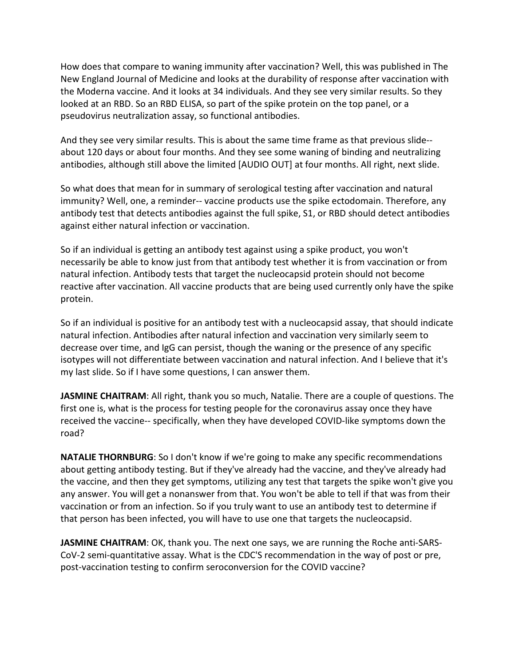How does that compare to waning immunity after vaccination? Well, this was published in The New England Journal of Medicine and looks at the durability of response after vaccination with the Moderna vaccine. And it looks at 34 individuals. And they see very similar results. So they looked at an RBD. So an RBD ELISA, so part of the spike protein on the top panel, or a pseudovirus neutralization assay, so functional antibodies.

And they see very similar results. This is about the same time frame as that previous slide- about 120 days or about four months. And they see some waning of binding and neutralizing antibodies, although still above the limited [AUDIO OUT] at four months. All right, next slide.

So what does that mean for in summary of serological testing after vaccination and natural immunity? Well, one, a reminder-- vaccine products use the spike ectodomain. Therefore, any antibody test that detects antibodies against the full spike, S1, or RBD should detect antibodies against either natural infection or vaccination.

So if an individual is getting an antibody test against using a spike product, you won't necessarily be able to know just from that antibody test whether it is from vaccination or from natural infection. Antibody tests that target the nucleocapsid protein should not become reactive after vaccination. All vaccine products that are being used currently only have the spike protein.

So if an individual is positive for an antibody test with a nucleocapsid assay, that should indicate natural infection. Antibodies after natural infection and vaccination very similarly seem to decrease over time, and IgG can persist, though the waning or the presence of any specific isotypes will not differentiate between vaccination and natural infection. And I believe that it's my last slide. So if I have some questions, I can answer them.

**JASMINE CHAITRAM**: All right, thank you so much, Natalie. There are a couple of questions. The first one is, what is the process for testing people for the coronavirus assay once they have received the vaccine-- specifically, when they have developed COVID-like symptoms down the road?

**NATALIE THORNBURG**: So I don't know if we're going to make any specific recommendations about getting antibody testing. But if they've already had the vaccine, and they've already had the vaccine, and then they get symptoms, utilizing any test that targets the spike won't give you any answer. You will get a nonanswer from that. You won't be able to tell if that was from their vaccination or from an infection. So if you truly want to use an antibody test to determine if that person has been infected, you will have to use one that targets the nucleocapsid.

**JASMINE CHAITRAM**: OK, thank you. The next one says, we are running the Roche anti-SARS-CoV-2 semi-quantitative assay. What is the CDC'S recommendation in the way of post or pre, post-vaccination testing to confirm seroconversion for the COVID vaccine?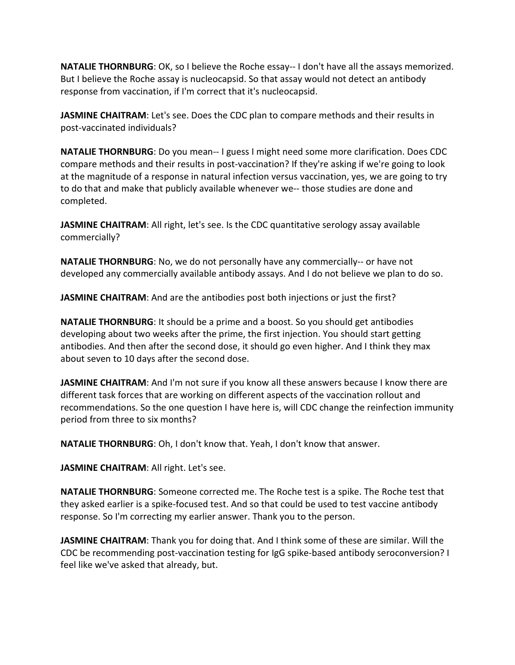**NATALIE THORNBURG**: OK, so I believe the Roche essay-- I don't have all the assays memorized. But I believe the Roche assay is nucleocapsid. So that assay would not detect an antibody response from vaccination, if I'm correct that it's nucleocapsid.

**JASMINE CHAITRAM**: Let's see. Does the CDC plan to compare methods and their results in post-vaccinated individuals?

**NATALIE THORNBURG**: Do you mean-- I guess I might need some more clarification. Does CDC compare methods and their results in post-vaccination? If they're asking if we're going to look at the magnitude of a response in natural infection versus vaccination, yes, we are going to try to do that and make that publicly available whenever we-- those studies are done and completed.

**JASMINE CHAITRAM**: All right, let's see. Is the CDC quantitative serology assay available commercially?

**NATALIE THORNBURG**: No, we do not personally have any commercially-- or have not developed any commercially available antibody assays. And I do not believe we plan to do so.

**JASMINE CHAITRAM**: And are the antibodies post both injections or just the first?

**NATALIE THORNBURG**: It should be a prime and a boost. So you should get antibodies developing about two weeks after the prime, the first injection. You should start getting antibodies. And then after the second dose, it should go even higher. And I think they max about seven to 10 days after the second dose.

**JASMINE CHAITRAM:** And I'm not sure if you know all these answers because I know there are different task forces that are working on different aspects of the vaccination rollout and recommendations. So the one question I have here is, will CDC change the reinfection immunity period from three to six months?

**NATALIE THORNBURG**: Oh, I don't know that. Yeah, I don't know that answer.

**JASMINE CHAITRAM**: All right. Let's see.

**NATALIE THORNBURG**: Someone corrected me. The Roche test is a spike. The Roche test that they asked earlier is a spike-focused test. And so that could be used to test vaccine antibody response. So I'm correcting my earlier answer. Thank you to the person.

**JASMINE CHAITRAM**: Thank you for doing that. And I think some of these are similar. Will the CDC be recommending post-vaccination testing for IgG spike-based antibody seroconversion? I feel like we've asked that already, but.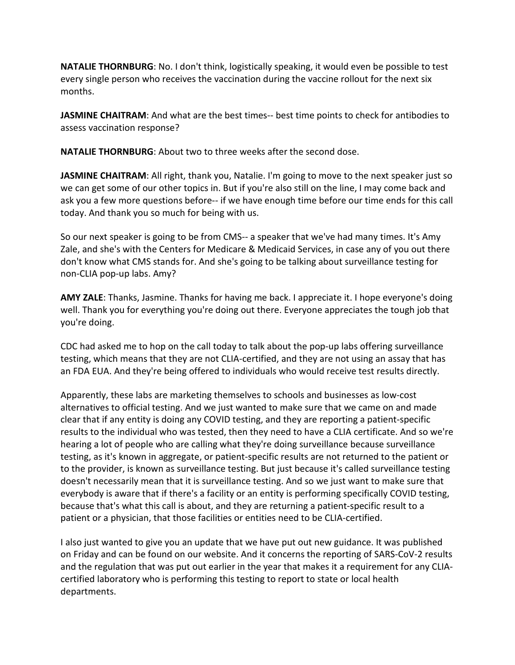**NATALIE THORNBURG**: No. I don't think, logistically speaking, it would even be possible to test every single person who receives the vaccination during the vaccine rollout for the next six months.

**JASMINE CHAITRAM:** And what are the best times-- best time points to check for antibodies to assess vaccination response?

**NATALIE THORNBURG**: About two to three weeks after the second dose.

**JASMINE CHAITRAM**: All right, thank you, Natalie. I'm going to move to the next speaker just so we can get some of our other topics in. But if you're also still on the line, I may come back and ask you a few more questions before-- if we have enough time before our time ends for this call today. And thank you so much for being with us.

So our next speaker is going to be from CMS-- a speaker that we've had many times. It's Amy Zale, and she's with the Centers for Medicare & Medicaid Services, in case any of you out there don't know what CMS stands for. And she's going to be talking about surveillance testing for non-CLIA pop-up labs. Amy?

**AMY ZALE**: Thanks, Jasmine. Thanks for having me back. I appreciate it. I hope everyone's doing well. Thank you for everything you're doing out there. Everyone appreciates the tough job that you're doing.

CDC had asked me to hop on the call today to talk about the pop-up labs offering surveillance testing, which means that they are not CLIA-certified, and they are not using an assay that has an FDA EUA. And they're being offered to individuals who would receive test results directly.

Apparently, these labs are marketing themselves to schools and businesses as low-cost alternatives to official testing. And we just wanted to make sure that we came on and made clear that if any entity is doing any COVID testing, and they are reporting a patient-specific results to the individual who was tested, then they need to have a CLIA certificate. And so we're hearing a lot of people who are calling what they're doing surveillance because surveillance testing, as it's known in aggregate, or patient-specific results are not returned to the patient or to the provider, is known as surveillance testing. But just because it's called surveillance testing doesn't necessarily mean that it is surveillance testing. And so we just want to make sure that everybody is aware that if there's a facility or an entity is performing specifically COVID testing, because that's what this call is about, and they are returning a patient-specific result to a patient or a physician, that those facilities or entities need to be CLIA-certified.

I also just wanted to give you an update that we have put out new guidance. It was published on Friday and can be found on our website. And it concerns the reporting of SARS-CoV-2 results and the regulation that was put out earlier in the year that makes it a requirement for any CLIAcertified laboratory who is performing this testing to report to state or local health departments.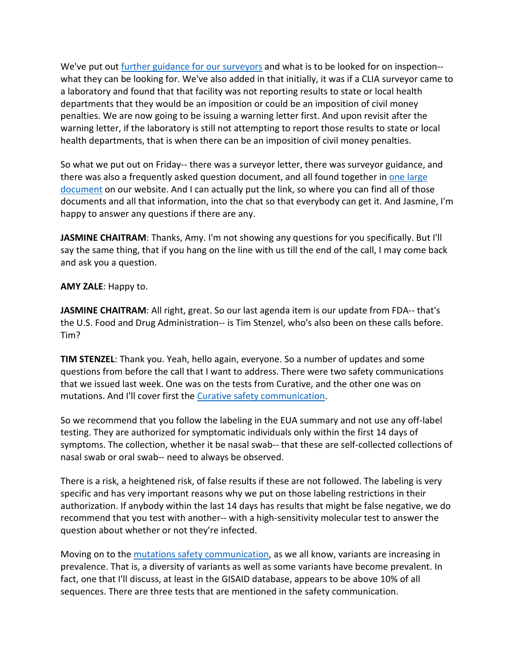We've put out [further guidance for our surveyors](https://www.cdc.gov/csels/dls/locs/2021/cms_updates_clia_surveyor_guidance_for_sars-cov-2_test_result_reporting.html) and what is to be looked for on inspection-what they can be looking for. We've also added in that initially, it was if a CLIA surveyor came to a laboratory and found that that facility was not reporting results to state or local health departments that they would be an imposition or could be an imposition of civil money penalties. We are now going to be issuing a warning letter first. And upon revisit after the warning letter, if the laboratory is still not attempting to report those results to state or local health departments, that is when there can be an imposition of civil money penalties.

So what we put out on Friday-- there was a surveyor letter, there was surveyor guidance, and there was also a frequently asked question document, and all found together i[n one large](https://www.cms.gov/files/document/qso-21-10-clia.pdf)  [document](https://www.cms.gov/files/document/qso-21-10-clia.pdf) on our website. And I can actually put the link, so where you can find all of those documents and all that information, into the chat so that everybody can get it. And Jasmine, I'm happy to answer any questions if there are any.

**JASMINE CHAITRAM**: Thanks, Amy. I'm not showing any questions for you specifically. But I'll say the same thing, that if you hang on the line with us till the end of the call, I may come back and ask you a question.

**AMY ZALE**: Happy to.

**JASMINE CHAITRAM**: All right, great. So our last agenda item is our update from FDA-- that's the U.S. Food and Drug Administration-- is Tim Stenzel, who's also been on these calls before. Tim?

**TIM STENZEL**: Thank you. Yeah, hello again, everyone. So a number of updates and some questions from before the call that I want to address. There were two safety communications that we issued last week. One was on the tests from Curative, and the other one was on mutations. And I'll cover first the [Curative safety communication.](https://www.cdc.gov/csels/dls/locs/2021/fda_issues_safety_communication_about_risk_of_false_results_with_curative_sars-cov-2_test_for_covid-19.html)

So we recommend that you follow the labeling in the EUA summary and not use any off-label testing. They are authorized for symptomatic individuals only within the first 14 days of symptoms. The collection, whether it be nasal swab-- that these are self-collected collections of nasal swab or oral swab-- need to always be observed.

There is a risk, a heightened risk, of false results if these are not followed. The labeling is very specific and has very important reasons why we put on those labeling restrictions in their authorization. If anybody within the last 14 days has results that might be false negative, we do recommend that you test with another-- with a high-sensitivity molecular test to answer the question about whether or not they're infected.

Moving on to the [mutations safety communication,](https://www.cdc.gov/csels/dls/locs/2021/fda_issues_safety_letter_about_generic_variants_of_sars-cov-2_and_false_negative_results_with_molecular_tests.html) as we all know, variants are increasing in prevalence. That is, a diversity of variants as well as some variants have become prevalent. In fact, one that I'll discuss, at least in the GISAID database, appears to be above 10% of all sequences. There are three tests that are mentioned in the safety communication.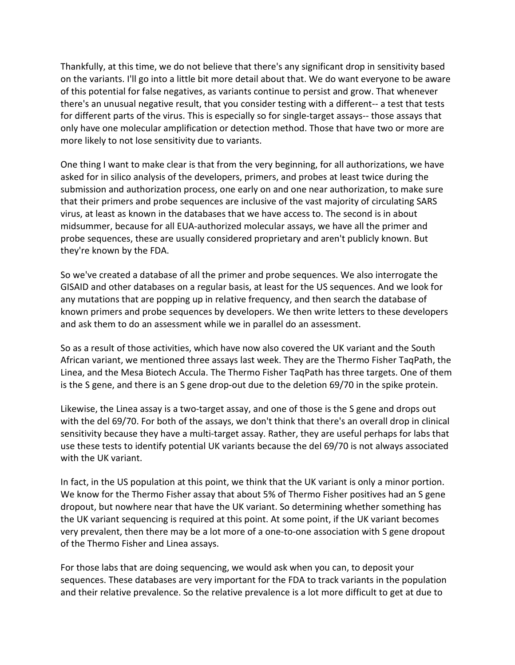Thankfully, at this time, we do not believe that there's any significant drop in sensitivity based on the variants. I'll go into a little bit more detail about that. We do want everyone to be aware of this potential for false negatives, as variants continue to persist and grow. That whenever there's an unusual negative result, that you consider testing with a different-- a test that tests for different parts of the virus. This is especially so for single-target assays-- those assays that only have one molecular amplification or detection method. Those that have two or more are more likely to not lose sensitivity due to variants.

One thing I want to make clear is that from the very beginning, for all authorizations, we have asked for in silico analysis of the developers, primers, and probes at least twice during the submission and authorization process, one early on and one near authorization, to make sure that their primers and probe sequences are inclusive of the vast majority of circulating SARS virus, at least as known in the databases that we have access to. The second is in about midsummer, because for all EUA-authorized molecular assays, we have all the primer and probe sequences, these are usually considered proprietary and aren't publicly known. But they're known by the FDA.

So we've created a database of all the primer and probe sequences. We also interrogate the GISAID and other databases on a regular basis, at least for the US sequences. And we look for any mutations that are popping up in relative frequency, and then search the database of known primers and probe sequences by developers. We then write letters to these developers and ask them to do an assessment while we in parallel do an assessment.

So as a result of those activities, which have now also covered the UK variant and the South African variant, we mentioned three assays last week. They are the Thermo Fisher TaqPath, the Linea, and the Mesa Biotech Accula. The Thermo Fisher TaqPath has three targets. One of them is the S gene, and there is an S gene drop-out due to the deletion 69/70 in the spike protein.

Likewise, the Linea assay is a two-target assay, and one of those is the S gene and drops out with the del 69/70. For both of the assays, we don't think that there's an overall drop in clinical sensitivity because they have a multi-target assay. Rather, they are useful perhaps for labs that use these tests to identify potential UK variants because the del 69/70 is not always associated with the UK variant.

In fact, in the US population at this point, we think that the UK variant is only a minor portion. We know for the Thermo Fisher assay that about 5% of Thermo Fisher positives had an S gene dropout, but nowhere near that have the UK variant. So determining whether something has the UK variant sequencing is required at this point. At some point, if the UK variant becomes very prevalent, then there may be a lot more of a one-to-one association with S gene dropout of the Thermo Fisher and Linea assays.

For those labs that are doing sequencing, we would ask when you can, to deposit your sequences. These databases are very important for the FDA to track variants in the population and their relative prevalence. So the relative prevalence is a lot more difficult to get at due to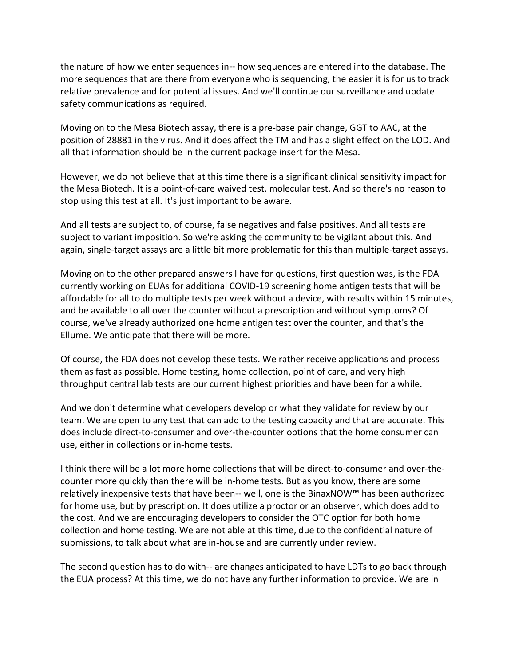the nature of how we enter sequences in-- how sequences are entered into the database. The more sequences that are there from everyone who is sequencing, the easier it is for us to track relative prevalence and for potential issues. And we'll continue our surveillance and update safety communications as required.

Moving on to the Mesa Biotech assay, there is a pre-base pair change, GGT to AAC, at the position of 28881 in the virus. And it does affect the TM and has a slight effect on the LOD. And all that information should be in the current package insert for the Mesa.

However, we do not believe that at this time there is a significant clinical sensitivity impact for the Mesa Biotech. It is a point-of-care waived test, molecular test. And so there's no reason to stop using this test at all. It's just important to be aware.

And all tests are subject to, of course, false negatives and false positives. And all tests are subject to variant imposition. So we're asking the community to be vigilant about this. And again, single-target assays are a little bit more problematic for this than multiple-target assays.

Moving on to the other prepared answers I have for questions, first question was, is the FDA currently working on EUAs for additional COVID-19 screening home antigen tests that will be affordable for all to do multiple tests per week without a device, with results within 15 minutes, and be available to all over the counter without a prescription and without symptoms? Of course, we've already authorized one home antigen test over the counter, and that's the Ellume. We anticipate that there will be more.

Of course, the FDA does not develop these tests. We rather receive applications and process them as fast as possible. Home testing, home collection, point of care, and very high throughput central lab tests are our current highest priorities and have been for a while.

And we don't determine what developers develop or what they validate for review by our team. We are open to any test that can add to the testing capacity and that are accurate. This does include direct-to-consumer and over-the-counter options that the home consumer can use, either in collections or in-home tests.

I think there will be a lot more home collections that will be direct-to-consumer and over-thecounter more quickly than there will be in-home tests. But as you know, there are some relatively inexpensive tests that have been-- well, one is the BinaxNOW™ has been authorized for home use, but by prescription. It does utilize a proctor or an observer, which does add to the cost. And we are encouraging developers to consider the OTC option for both home collection and home testing. We are not able at this time, due to the confidential nature of submissions, to talk about what are in-house and are currently under review.

The second question has to do with-- are changes anticipated to have LDTs to go back through the EUA process? At this time, we do not have any further information to provide. We are in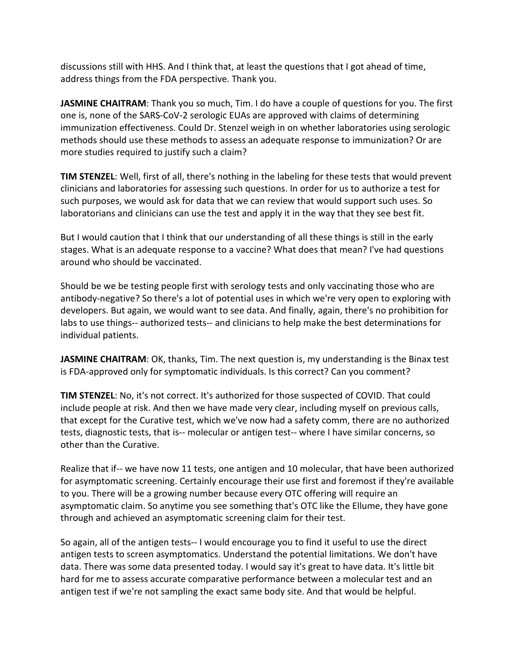discussions still with HHS. And I think that, at least the questions that I got ahead of time, address things from the FDA perspective. Thank you.

**JASMINE CHAITRAM**: Thank you so much, Tim. I do have a couple of questions for you. The first one is, none of the SARS-CoV-2 serologic EUAs are approved with claims of determining immunization effectiveness. Could Dr. Stenzel weigh in on whether laboratories using serologic methods should use these methods to assess an adequate response to immunization? Or are more studies required to justify such a claim?

**TIM STENZEL**: Well, first of all, there's nothing in the labeling for these tests that would prevent clinicians and laboratories for assessing such questions. In order for us to authorize a test for such purposes, we would ask for data that we can review that would support such uses. So laboratorians and clinicians can use the test and apply it in the way that they see best fit.

But I would caution that I think that our understanding of all these things is still in the early stages. What is an adequate response to a vaccine? What does that mean? I've had questions around who should be vaccinated.

Should be we be testing people first with serology tests and only vaccinating those who are antibody-negative? So there's a lot of potential uses in which we're very open to exploring with developers. But again, we would want to see data. And finally, again, there's no prohibition for labs to use things-- authorized tests-- and clinicians to help make the best determinations for individual patients.

JASMINE CHAITRAM: OK, thanks, Tim. The next question is, my understanding is the Binax test is FDA-approved only for symptomatic individuals. Is this correct? Can you comment?

**TIM STENZEL**: No, it's not correct. It's authorized for those suspected of COVID. That could include people at risk. And then we have made very clear, including myself on previous calls, that except for the Curative test, which we've now had a safety comm, there are no authorized tests, diagnostic tests, that is-- molecular or antigen test-- where I have similar concerns, so other than the Curative.

Realize that if-- we have now 11 tests, one antigen and 10 molecular, that have been authorized for asymptomatic screening. Certainly encourage their use first and foremost if they're available to you. There will be a growing number because every OTC offering will require an asymptomatic claim. So anytime you see something that's OTC like the Ellume, they have gone through and achieved an asymptomatic screening claim for their test.

So again, all of the antigen tests-- I would encourage you to find it useful to use the direct antigen tests to screen asymptomatics. Understand the potential limitations. We don't have data. There was some data presented today. I would say it's great to have data. It's little bit hard for me to assess accurate comparative performance between a molecular test and an antigen test if we're not sampling the exact same body site. And that would be helpful.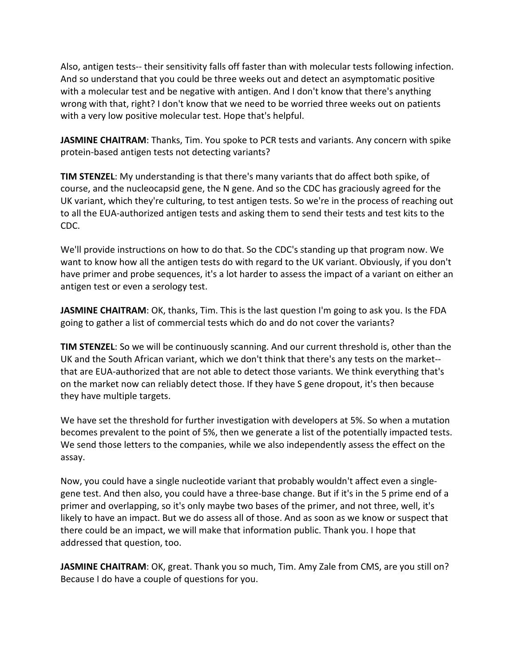Also, antigen tests-- their sensitivity falls off faster than with molecular tests following infection. And so understand that you could be three weeks out and detect an asymptomatic positive with a molecular test and be negative with antigen. And I don't know that there's anything wrong with that, right? I don't know that we need to be worried three weeks out on patients with a very low positive molecular test. Hope that's helpful.

**JASMINE CHAITRAM**: Thanks, Tim. You spoke to PCR tests and variants. Any concern with spike protein-based antigen tests not detecting variants?

**TIM STENZEL**: My understanding is that there's many variants that do affect both spike, of course, and the nucleocapsid gene, the N gene. And so the CDC has graciously agreed for the UK variant, which they're culturing, to test antigen tests. So we're in the process of reaching out to all the EUA-authorized antigen tests and asking them to send their tests and test kits to the CDC.

We'll provide instructions on how to do that. So the CDC's standing up that program now. We want to know how all the antigen tests do with regard to the UK variant. Obviously, if you don't have primer and probe sequences, it's a lot harder to assess the impact of a variant on either an antigen test or even a serology test.

**JASMINE CHAITRAM**: OK, thanks, Tim. This is the last question I'm going to ask you. Is the FDA going to gather a list of commercial tests which do and do not cover the variants?

**TIM STENZEL**: So we will be continuously scanning. And our current threshold is, other than the UK and the South African variant, which we don't think that there's any tests on the market- that are EUA-authorized that are not able to detect those variants. We think everything that's on the market now can reliably detect those. If they have S gene dropout, it's then because they have multiple targets.

We have set the threshold for further investigation with developers at 5%. So when a mutation becomes prevalent to the point of 5%, then we generate a list of the potentially impacted tests. We send those letters to the companies, while we also independently assess the effect on the assay.

Now, you could have a single nucleotide variant that probably wouldn't affect even a singlegene test. And then also, you could have a three-base change. But if it's in the 5 prime end of a primer and overlapping, so it's only maybe two bases of the primer, and not three, well, it's likely to have an impact. But we do assess all of those. And as soon as we know or suspect that there could be an impact, we will make that information public. Thank you. I hope that addressed that question, too.

**JASMINE CHAITRAM**: OK, great. Thank you so much, Tim. Amy Zale from CMS, are you still on? Because I do have a couple of questions for you.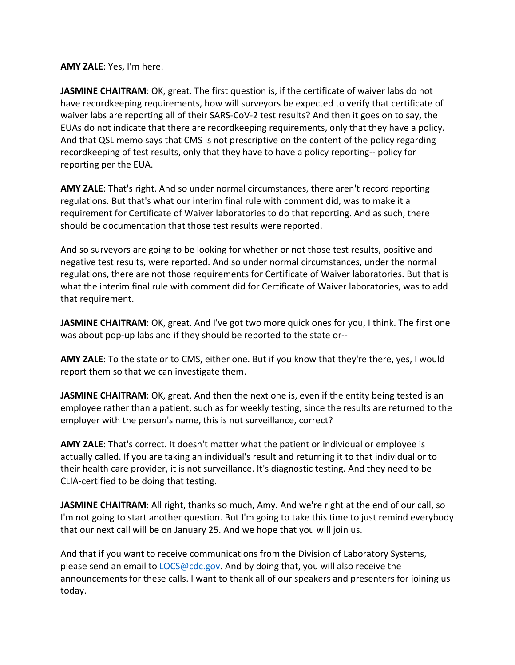**AMY ZALE**: Yes, I'm here.

**JASMINE CHAITRAM**: OK, great. The first question is, if the certificate of waiver labs do not have recordkeeping requirements, how will surveyors be expected to verify that certificate of waiver labs are reporting all of their SARS-CoV-2 test results? And then it goes on to say, the EUAs do not indicate that there are recordkeeping requirements, only that they have a policy. And that QSL memo says that CMS is not prescriptive on the content of the policy regarding recordkeeping of test results, only that they have to have a policy reporting-- policy for reporting per the EUA.

**AMY ZALE**: That's right. And so under normal circumstances, there aren't record reporting regulations. But that's what our interim final rule with comment did, was to make it a requirement for Certificate of Waiver laboratories to do that reporting. And as such, there should be documentation that those test results were reported.

And so surveyors are going to be looking for whether or not those test results, positive and negative test results, were reported. And so under normal circumstances, under the normal regulations, there are not those requirements for Certificate of Waiver laboratories. But that is what the interim final rule with comment did for Certificate of Waiver laboratories, was to add that requirement.

JASMINE CHAITRAM: OK, great. And I've got two more quick ones for you, I think. The first one was about pop-up labs and if they should be reported to the state or--

**AMY ZALE**: To the state or to CMS, either one. But if you know that they're there, yes, I would report them so that we can investigate them.

**JASMINE CHAITRAM:** OK, great. And then the next one is, even if the entity being tested is an employee rather than a patient, such as for weekly testing, since the results are returned to the employer with the person's name, this is not surveillance, correct?

**AMY ZALE**: That's correct. It doesn't matter what the patient or individual or employee is actually called. If you are taking an individual's result and returning it to that individual or to their health care provider, it is not surveillance. It's diagnostic testing. And they need to be CLIA-certified to be doing that testing.

**JASMINE CHAITRAM**: All right, thanks so much, Amy. And we're right at the end of our call, so I'm not going to start another question. But I'm going to take this time to just remind everybody that our next call will be on January 25. And we hope that you will join us.

And that if you want to receive communications from the Division of Laboratory Systems, please send an email to [LOCS@cdc.gov.](mailto:LOCS@cdc.gov) And by doing that, you will also receive the announcements for these calls. I want to thank all of our speakers and presenters for joining us today.